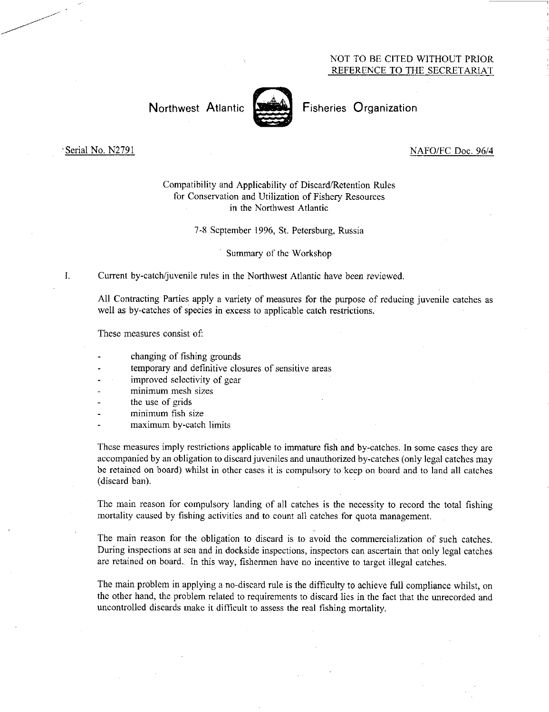## NOT TO BE CITED WITHOUT PRIOR REFERENCE TO THE SECRETARIAT

# Northwest Atlantic **Notifiable** Fisheries Organization



### Serial No. N2791 NAFO/FC Doc. 96/4

# Compatibility and Applicability of Discard/Retention Rules for Conservation and Utilization of Fishery Resources in the Northwest Atlantic

7-8 September 1996, St. Petersburg, Russia

Summary of the Workshop

I. Current by-catch/juvenile rules in the Northwest Atlantic have *been* reviewed.

All Contracting Parties apply a variety of measures for the purpose of reducing juvenile catches as well as by-catches of species in excess to applicable catch restrictions.

These measures consist of:

- changing of fishing grounds
- temporary and definitive closures of sensitive areas
- improved selectivity of gear
- minimum mesh sizes
- the use of grids
- minimum fish size
- maximum by-catch limits

These measures imply restrictions applicable to immature fish and by-catches. In some cases they are accompanied by an obligation to discard juveniles and unauthorized by-catches (only legal catches may be retained on board) whilst in other cases it is compulsory to keep on board and to land all catches (discard ban).

The main reason for compulsory landing of all catches is the necessity to record the total fishing mortality caused by fishing activities and to count all catches for quota management.

The main reason for the obligation to discard is to avoid the commercialization of such catches. During inspections at sea and in dockside inspections, inspectors can ascertain that only legal catches are retained on board. In this way, fishermen have no incentive to target illegal catches.

The main problem in applying a no-discard rule is the difficulty to achieve full compliance whilst, on the other hand, the problem related to requirements to discard lies in the fact that the unrecorded and uncontrolled discards make it difficult to assess the real fishing mortality.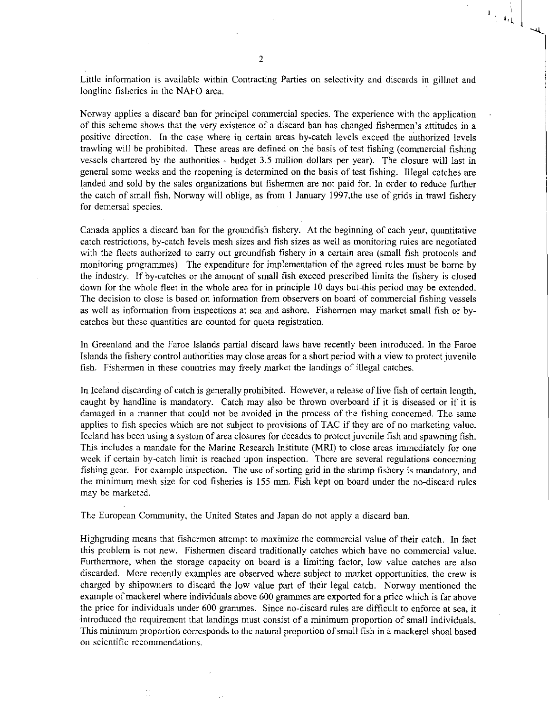Little information is available within Contracting Parties on selectivity and discards in gillnet and longline fisheries in the NAFO area.

 $\left. \begin{array}{cc} 1 & 1 \\ 1 & 1 \\ 1 & 1 \\ 1 & 1 \end{array} \right|_{\mathcal{L}}$ 

Norway applies a discard ban for principal commercial species. The experience with the application of this scheme shows that the very existence of a discard ban has changed fishermen's attitudes in a positive direction. In the case where in certain areas by-catch levels exceed the authorized levels trawling will be prohibited. These areas are defined on the basis of test fishing (commercial fishing vessels chartered by the authorities - budget 3.5 million dollars per year). The closure will last in general some weeks and the reopening is determined on the basis of test fishing. Illegal catches are landed and sold by the sales organizations but fishermen are not paid for. In order to reduce further the catch of small fish, Norway will oblige, as from 1 January 1997,the use of grids in trawl fishery for demersal species.

Canada applies a discard ban for the groundfish fishery. At the beginning of each year, quantitative catch restrictions, by-catch levels mesh sizes and fish sizes as well as monitoring rules are negotiated with the fleets authorized to carry out groundfish fishery in a certain area (small fish protocols and monitoring programmes). The expenditure for implementation of the agreed rules must be borne by the industry. If by-catches or the amount of small fish exceed prescribed limits the fishery is closed down for the whole fleet in the whole area for in principle 10 days but-this period may be extended. The decision to close is based on information from observers on board of commercial fishing vessels as well as information from inspections at sea and ashore. Fishermen may market small fish or bycatches but these quantities are counted for quota registration.

In Greenland and the Faroe Islands partial discard laws have recently been introduced. In the Faroe Islands the fishery control authorities may close areas for a short period with a view to protect juvenile fish. Fishermen in these countries may freely market the landings of illegal catches.

In Iceland discarding of catch is generally prohibited. However, a release of live fish of certain length, caught by handline is mandatory. Catch may also be thrown overboard if it is diseased or if it is damaged in a manner that could not be avoided in the process of the fishing concerned. The same applies to fish species which are not subject to provisions of TAC if they are of no marketing value. Iceland has been using a system of area closures for decades to protect juvenile fish and spawning fish. This includes a mandate for the Marine Research Institute (MRI) to close areas immediately for one week if certain by-catch limit is reached upon inspection. There are several regulations concerning fishing gear. For example inspection. The use of sorting grid in the shrimp fishery is mandatory, and the minimum mesh size for cod fisheries is 155 mm. Fish kept on board under the no-discard rules may be marketed.

The European Community, the United States and Japan do not apply a discard ban.

Highgrading means that fishermen attempt to maximize the commercial value of their catch. In fact this problem is not new. Fishermen discard traditionally catches which have no commercial value. Furthermore, when the storage capacity on board is a limiting factor, low value catches are also discarded. More recently examples are observed where subject to market opportunities, the crew is charged by shipowners to discard the low value part of their legal catch. Norway mentioned the example of mackerel where individuals above 600 grammes are exported for a price which is far above the price for individuals under 600 grammes. Since no-discard rules are difficult to enforce at sea, it introduced the requirement that landings must consist of a minimum proportion of small individuals. This minimum proportion corresponds to the natural proportion of small fish in a mackerel shoal based on scientific recommendations.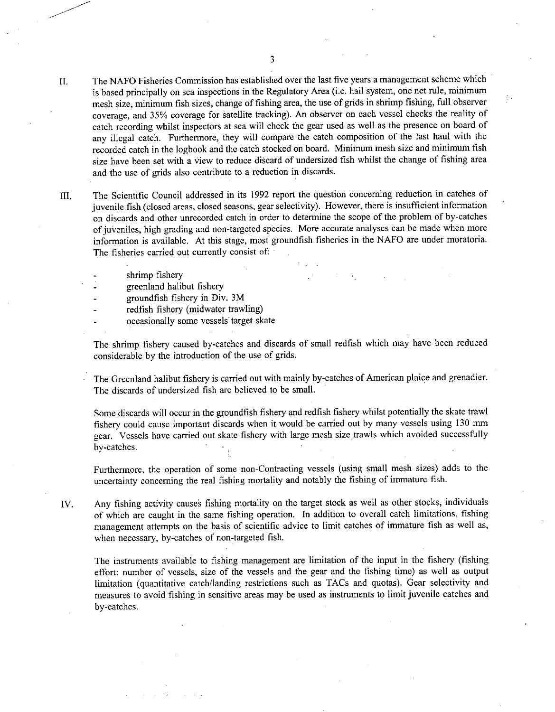- II. The NAFO Fisheries Commission has established over the last five years a management scheme which is based principally on sea inspections in the Regulatory Area (i.e. hail system, one net rule, minimum mesh size, minimum fish sizes, change of fishing area, the use of grids in shrimp fishing, full observer coverage, and 35% coverage for Satellite tracking). An observer on each vessel checks the reality of catch recording whilst inspectors at sea will check the gear used as well as the presence on board of any illegal catch. Furthermore, they will compare the catch composition of the last haul with the recorded catch in the logbook and the catch stocked on board. Minimum mesh size and minimum fish size have been set with a view to reduce discard of undersized fish whilst the change of fishing area and the use of grids also contribute to a reduction in discards.
- III. The Scientific Council addressed in its 1992 report the question concerning reduction in catches of juvenile fish (closed areas, closed seasons, gear selectivity). However, there is insufficient information on discards and other unrecorded catch in order to determine the scope of the problem of by-catches of juveniles, high grading and non-targeted species. More accurate analyses can be made when more information is available. At this stage, most groundfish fisheries in the NAFO are under moratoria. The fisheries carried out currently consist of:
	- shrimp fishery
	- greenland halibut fishery
	- groundfish fishery in Div. 3M
	- redfish fishery (midwater trawling)
	- occasionally some vessels target skate

The shrimp fishery caused by-catches and discards of small redfish which may have been reduced considerable by the introduction of the use of grids.

The Greenland halibut fishery is carried out with mainly by-catches of American plaice and grenadier. The discards of undersized fish are believed to be small.

Some discards will occur in the groundfish fishery and redfish fishery whilst potentially the skate trawl fishery could cause important discards when it would be carried out by many vessels using 130 mm gear. Vessels have carried out skate fishery with large mesh size trawls which avoided successfully by-catches.

Furthermore, the operation of some non-Contracting vessels (using small mesh sizes) adds to the uncertainty concerning the real fishing mortality and notably the fishing of immature fish.

IV. Any fishing activity causes fishing mortality on the target stock as well as other stocks, individuals of which are caught in the same fishing operation. In addition to overall catch limitations, fishing management attempts on the basis of scientific advice to limit catches of immature fish as well as, when necessary, by-catches of non-targeted fish.

The instruments available to fishing management are limitation of the input in the fishery (fishing effort: number of vessels, size of the vessels and the gear and the fishing time) as well as output limitation (quantitative catch/landing restrictions such as TACs and quotas). Gear selectivity and measures to avoid fishing in sensitive areas may be used as instruments to limit juvenile catches and by-catches.